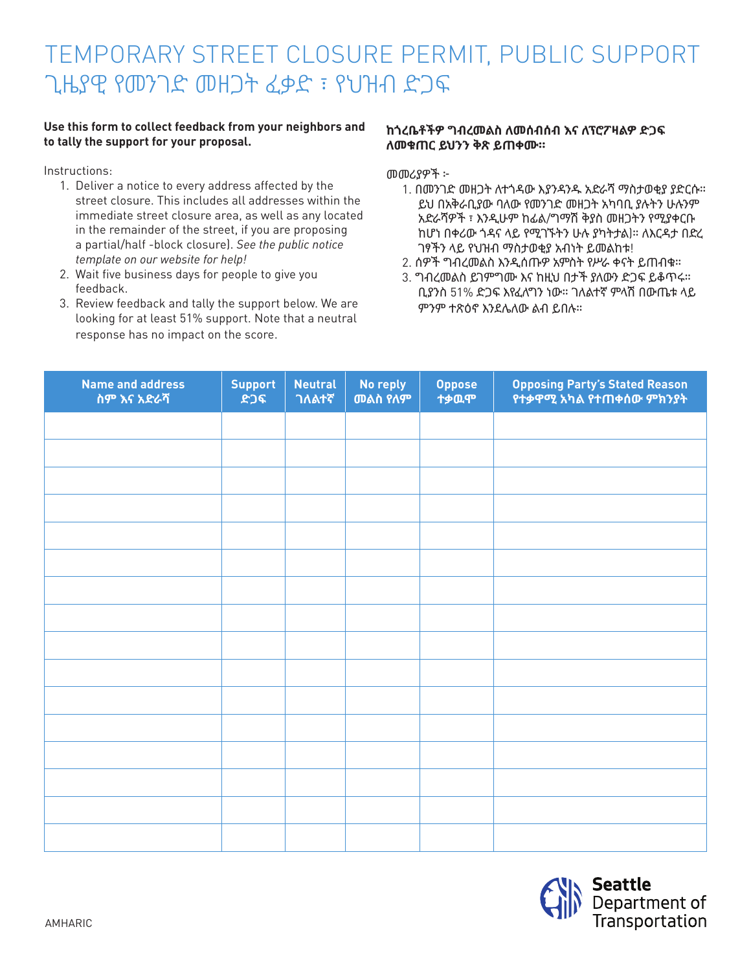## TEMPORARY STREET CLOSURE PERMIT, PUBLIC SUPPORT ጊዜያዊ የመንገድ መዘጋት ፈቃድ ፣ የህዝብ ድጋፍ

## **Use this form to collect feedback from your neighbors and to tally the support for your proposal.**

Instructions:

- 1. Deliver a notice to every address affected by the street closure. This includes all addresses within the immediate street closure area, as well as any located in the remainder of the street, if you are proposing a partial/half -block closure). *See the public notice template on our website for help!*
- 2. Wait five business days for people to give you feedback.
- 3. Review feedback and tally the support below. We are looking for at least 51% support. Note that a neutral response has no impact on the score.

## **ከጎረቤቶችዎ ግብረመልስ ለመሰብሰብ እና ለፕሮፖዛልዎ ድጋፍ ለመቁጠር ይህንን ቅጽ ይጠቀሙ።**

መመሪያዎች ፦

- 1. በመንገድ መዘጋት ለተጎዳው እያንዳንዱ አድራሻ ማስታወቂያ ያድርሱ። ይህ በአቅራቢያው ባለው የመንገድ መዘጋት አካባቢ ያሉትን ሁሉንም አድራሻዎች ፣ እንዲሁም ከፊል/ግማሽ ቅያስ መዘጋትን የሚያቀርቡ ከሆነ በቀሪው ጎዳና ላይ የሚገኙትን ሁሉ ያካትታል)። ለእርዳታ በድረ ገፃችን ላይ የህዝብ ማስታወቂያ አብነት ይመልከቱ!
- 2. ሰዎች ግብረመልስ እንዲሰጡዎ አምስት የሥራ ቀናት ይጠብቁ።
- 3. ግብረመልስ ይገምግሙ እና ከዚህ በታች ያለውን ድጋፍ ይቆጥሩ። ቢያንስ 51% ድጋፍ እየፈለግን ነው። ገለልተኛ ምላሽ በውጤቱ ላይ ምንም ተጽዕኖ እንደሌለው ልብ ይበሉ።

| <b>Name and address</b><br>ስም እና አድራሻ | <b>Support</b><br>ድጋፍ | <b>Neutral</b><br>ገለልተኛ | No reply<br>መልስ የለም | <b>Oppose</b><br>ተቃዉሞ | Opposing Party's Stated Reason<br>የተቃዋሚ አካል የተጠቀሰው ምክንያት |
|---------------------------------------|-----------------------|-------------------------|---------------------|-----------------------|----------------------------------------------------------|
|                                       |                       |                         |                     |                       |                                                          |
|                                       |                       |                         |                     |                       |                                                          |
|                                       |                       |                         |                     |                       |                                                          |
|                                       |                       |                         |                     |                       |                                                          |
|                                       |                       |                         |                     |                       |                                                          |
|                                       |                       |                         |                     |                       |                                                          |
|                                       |                       |                         |                     |                       |                                                          |
|                                       |                       |                         |                     |                       |                                                          |
|                                       |                       |                         |                     |                       |                                                          |
|                                       |                       |                         |                     |                       |                                                          |
|                                       |                       |                         |                     |                       |                                                          |
|                                       |                       |                         |                     |                       |                                                          |
|                                       |                       |                         |                     |                       |                                                          |
|                                       |                       |                         |                     |                       |                                                          |
|                                       |                       |                         |                     |                       |                                                          |
|                                       |                       |                         |                     |                       |                                                          |